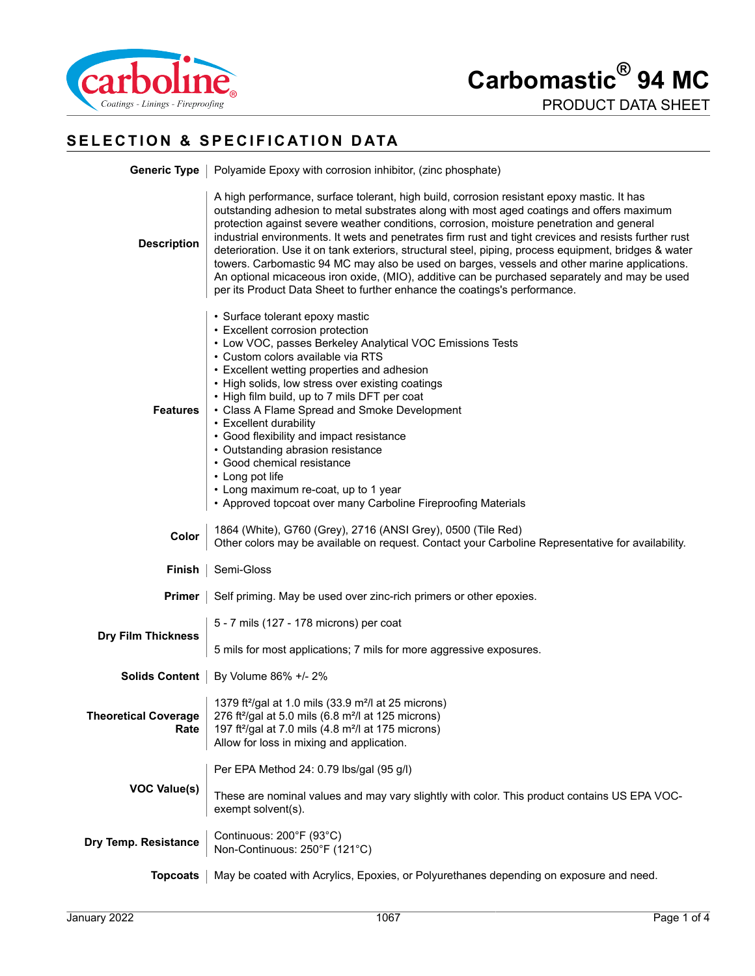

# **SELECTION & SPECIFICATION DATA**

|                                                                                                                                                                                                                                                                                                                                                                                                                                                                                                                                                                                                                                                                  | <b>Generic Type</b>   Polyamide Epoxy with corrosion inhibitor, (zinc phosphate)                                                                                                                                                                                                                                                                                                                                                                                                                                                                                                                                                                                                                                                                                                     |  |  |
|------------------------------------------------------------------------------------------------------------------------------------------------------------------------------------------------------------------------------------------------------------------------------------------------------------------------------------------------------------------------------------------------------------------------------------------------------------------------------------------------------------------------------------------------------------------------------------------------------------------------------------------------------------------|--------------------------------------------------------------------------------------------------------------------------------------------------------------------------------------------------------------------------------------------------------------------------------------------------------------------------------------------------------------------------------------------------------------------------------------------------------------------------------------------------------------------------------------------------------------------------------------------------------------------------------------------------------------------------------------------------------------------------------------------------------------------------------------|--|--|
| <b>Description</b>                                                                                                                                                                                                                                                                                                                                                                                                                                                                                                                                                                                                                                               | A high performance, surface tolerant, high build, corrosion resistant epoxy mastic. It has<br>outstanding adhesion to metal substrates along with most aged coatings and offers maximum<br>protection against severe weather conditions, corrosion, moisture penetration and general<br>industrial environments. It wets and penetrates firm rust and tight crevices and resists further rust<br>deterioration. Use it on tank exteriors, structural steel, piping, process equipment, bridges & water<br>towers. Carbomastic 94 MC may also be used on barges, vessels and other marine applications.<br>An optional micaceous iron oxide, (MIO), additive can be purchased separately and may be used<br>per its Product Data Sheet to further enhance the coatings's performance. |  |  |
| • Surface tolerant epoxy mastic<br>• Excellent corrosion protection<br>• Low VOC, passes Berkeley Analytical VOC Emissions Tests<br>· Custom colors available via RTS<br>• Excellent wetting properties and adhesion<br>• High solids, low stress over existing coatings<br>• High film build, up to 7 mils DFT per coat<br>• Class A Flame Spread and Smoke Development<br><b>Features</b><br>• Excellent durability<br>• Good flexibility and impact resistance<br>• Outstanding abrasion resistance<br>• Good chemical resistance<br>• Long pot life<br>• Long maximum re-coat, up to 1 year<br>• Approved topcoat over many Carboline Fireproofing Materials |                                                                                                                                                                                                                                                                                                                                                                                                                                                                                                                                                                                                                                                                                                                                                                                      |  |  |
| Color                                                                                                                                                                                                                                                                                                                                                                                                                                                                                                                                                                                                                                                            | 1864 (White), G760 (Grey), 2716 (ANSI Grey), 0500 (Tile Red)<br>Other colors may be available on request. Contact your Carboline Representative for availability.                                                                                                                                                                                                                                                                                                                                                                                                                                                                                                                                                                                                                    |  |  |
|                                                                                                                                                                                                                                                                                                                                                                                                                                                                                                                                                                                                                                                                  | <b>Finish</b>   Semi-Gloss                                                                                                                                                                                                                                                                                                                                                                                                                                                                                                                                                                                                                                                                                                                                                           |  |  |
|                                                                                                                                                                                                                                                                                                                                                                                                                                                                                                                                                                                                                                                                  | <b>Primer</b>   Self priming. May be used over zinc-rich primers or other epoxies.                                                                                                                                                                                                                                                                                                                                                                                                                                                                                                                                                                                                                                                                                                   |  |  |
| <b>Dry Film Thickness</b>                                                                                                                                                                                                                                                                                                                                                                                                                                                                                                                                                                                                                                        | 5 - 7 mils (127 - 178 microns) per coat<br>5 mils for most applications; 7 mils for more aggressive exposures.                                                                                                                                                                                                                                                                                                                                                                                                                                                                                                                                                                                                                                                                       |  |  |
|                                                                                                                                                                                                                                                                                                                                                                                                                                                                                                                                                                                                                                                                  | Solids Content   By Volume 86% +/- 2%                                                                                                                                                                                                                                                                                                                                                                                                                                                                                                                                                                                                                                                                                                                                                |  |  |
| <b>Theoretical Coverage</b><br>Rate                                                                                                                                                                                                                                                                                                                                                                                                                                                                                                                                                                                                                              | 1379 ft <sup>2</sup> /gal at 1.0 mils (33.9 m <sup>2</sup> /l at 25 microns)<br>276 ft <sup>2</sup> /gal at 5.0 mils (6.8 m <sup>2</sup> /l at 125 microns)<br>197 ft <sup>2</sup> /gal at 7.0 mils (4.8 m <sup>2</sup> /l at 175 microns)<br>Allow for loss in mixing and application.                                                                                                                                                                                                                                                                                                                                                                                                                                                                                              |  |  |
| <b>VOC Value(s)</b>                                                                                                                                                                                                                                                                                                                                                                                                                                                                                                                                                                                                                                              | Per EPA Method 24: 0.79 lbs/gal (95 g/l)                                                                                                                                                                                                                                                                                                                                                                                                                                                                                                                                                                                                                                                                                                                                             |  |  |
|                                                                                                                                                                                                                                                                                                                                                                                                                                                                                                                                                                                                                                                                  | These are nominal values and may vary slightly with color. This product contains US EPA VOC-<br>exempt solvent(s).                                                                                                                                                                                                                                                                                                                                                                                                                                                                                                                                                                                                                                                                   |  |  |
| Dry Temp. Resistance                                                                                                                                                                                                                                                                                                                                                                                                                                                                                                                                                                                                                                             | Continuous: 200°F (93°C)<br>Non-Continuous: 250°F (121°C)                                                                                                                                                                                                                                                                                                                                                                                                                                                                                                                                                                                                                                                                                                                            |  |  |
| <b>Topcoats</b>                                                                                                                                                                                                                                                                                                                                                                                                                                                                                                                                                                                                                                                  | May be coated with Acrylics, Epoxies, or Polyurethanes depending on exposure and need.                                                                                                                                                                                                                                                                                                                                                                                                                                                                                                                                                                                                                                                                                               |  |  |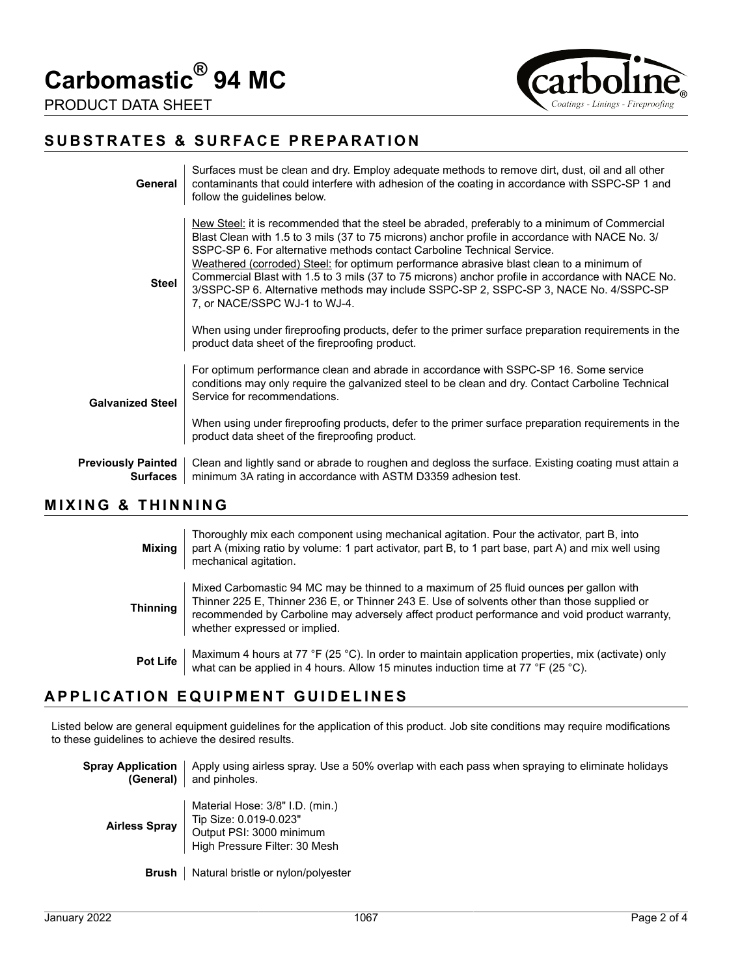**Carbomastic® 94 MC**



#### **SUBSTRATES & SURFACE PREPARATION**

| General                                      | Surfaces must be clean and dry. Employ adequate methods to remove dirt, dust, oil and all other<br>contaminants that could interfere with adhesion of the coating in accordance with SSPC-SP 1 and<br>follow the guidelines below.                                                                                                                                                                                                                                                                                                                                                                                                                                                                                                                               |
|----------------------------------------------|------------------------------------------------------------------------------------------------------------------------------------------------------------------------------------------------------------------------------------------------------------------------------------------------------------------------------------------------------------------------------------------------------------------------------------------------------------------------------------------------------------------------------------------------------------------------------------------------------------------------------------------------------------------------------------------------------------------------------------------------------------------|
| <b>Steel</b>                                 | New Steel: it is recommended that the steel be abraded, preferably to a minimum of Commercial<br>Blast Clean with 1.5 to 3 mils (37 to 75 microns) anchor profile in accordance with NACE No. 3/<br>SSPC-SP 6. For alternative methods contact Carboline Technical Service.<br>Weathered (corroded) Steel: for optimum performance abrasive blast clean to a minimum of<br>Commercial Blast with 1.5 to 3 mils (37 to 75 microns) anchor profile in accordance with NACE No.<br>3/SSPC-SP 6. Alternative methods may include SSPC-SP 2, SSPC-SP 3, NACE No. 4/SSPC-SP<br>7, or NACE/SSPC WJ-1 to WJ-4.<br>When using under fireproofing products, defer to the primer surface preparation requirements in the<br>product data sheet of the fireproofing product. |
| <b>Galvanized Steel</b>                      | For optimum performance clean and abrade in accordance with SSPC-SP 16. Some service<br>conditions may only require the galvanized steel to be clean and dry. Contact Carboline Technical<br>Service for recommendations.<br>When using under fireproofing products, defer to the primer surface preparation requirements in the<br>product data sheet of the fireproofing product.                                                                                                                                                                                                                                                                                                                                                                              |
| <b>Previously Painted</b><br><b>Surfaces</b> | Clean and lightly sand or abrade to roughen and degloss the surface. Existing coating must attain a<br>minimum 3A rating in accordance with ASTM D3359 adhesion test.                                                                                                                                                                                                                                                                                                                                                                                                                                                                                                                                                                                            |

### **MIXING & THINNING**

| Mixing          | Thoroughly mix each component using mechanical agitation. Pour the activator, part B, into<br>part A (mixing ratio by volume: 1 part activator, part B, to 1 part base, part A) and mix well using<br>mechanical agitation.                                                                                             |
|-----------------|-------------------------------------------------------------------------------------------------------------------------------------------------------------------------------------------------------------------------------------------------------------------------------------------------------------------------|
| <b>Thinning</b> | Mixed Carbomastic 94 MC may be thinned to a maximum of 25 fluid ounces per gallon with<br>Thinner 225 E, Thinner 236 E, or Thinner 243 E. Use of solvents other than those supplied or<br>recommended by Carboline may adversely affect product performance and void product warranty.<br>whether expressed or implied. |
| <b>Pot Life</b> | Maximum 4 hours at 77 °F (25 °C). In order to maintain application properties, mix (activate) only<br>what can be applied in 4 hours. Allow 15 minutes induction time at 77 °F (25 °C).                                                                                                                                 |

### **APPLICATION EQUIPMENT GUIDELINES**

Listed below are general equipment guidelines for the application of this product. Job site conditions may require modifications to these guidelines to achieve the desired results.

| Spray Application<br>(General) | Apply using airless spray. Use a 50% overlap with each pass when spraying to eliminate holidays<br>and pinholes.       |
|--------------------------------|------------------------------------------------------------------------------------------------------------------------|
| <b>Airless Spray</b>           | Material Hose: 3/8" I.D. (min.)<br>Tip Size: 0.019-0.023"<br>Output PSI: 3000 minimum<br>High Pressure Filter: 30 Mesh |
| Brush                          | Natural bristle or nylon/polyester                                                                                     |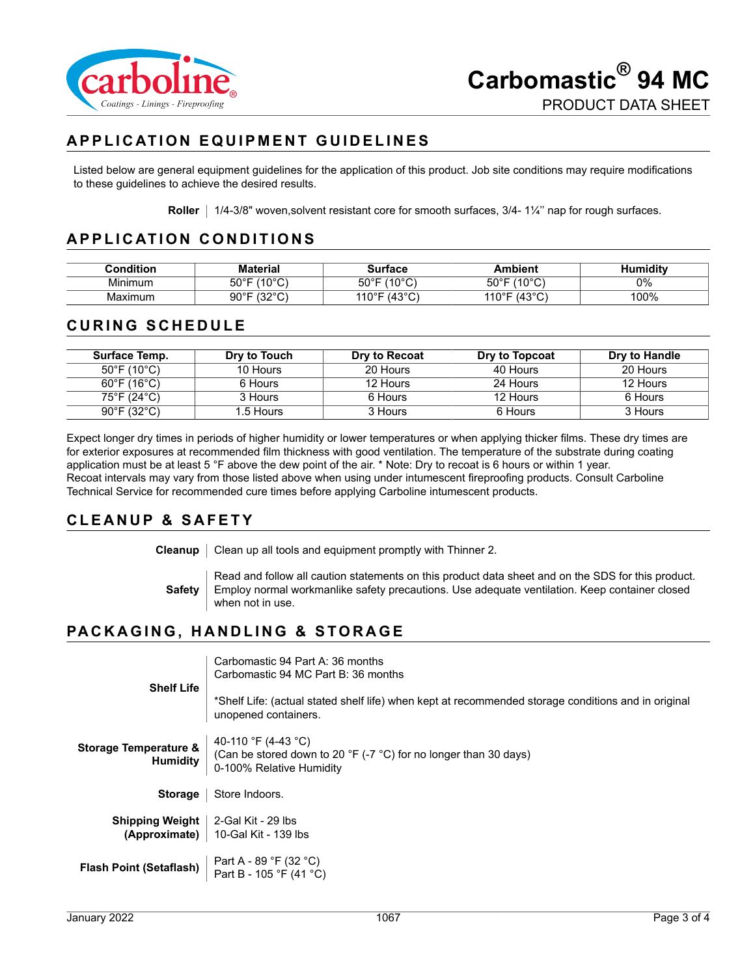

# **APPLICATION EQUIPMENT GUIDELINES**

Listed below are general equipment guidelines for the application of this product. Job site conditions may require modifications to these guidelines to achieve the desired results.

**Roller** | 1/4-3/8" woven,solvent resistant core for smooth surfaces, 3/4-1¼" nap for rough surfaces.

## **APPLICATION CONDITIONS**

| :ondition | ateria                               | 1117722                         | ້ hient                            | umidity |
|-----------|--------------------------------------|---------------------------------|------------------------------------|---------|
| Minimum   | $100^\circ$<br>$50^{\circ}$ F<br>َ ب | $100^\circ$<br>50°⊏<br>v<br>. v | 1000<br>$50^\circ$ F<br>ັ          | 0%      |
| Maximum   | 10000<br>90°F<br>ັ້<br>ັ             | 1000<br>14 O O D<br>◡           | $\sim$<br>1400F<br>ΊU<br>ີ່⊤ບ<br>ັ | 100%    |

#### **CURING SCHEDULE**

| Surface Temp.                    | Dry to Touch | Dry to Recoat | Dry to Topcoat | Dry to Handle |
|----------------------------------|--------------|---------------|----------------|---------------|
| 50°F (10°C)                      | 10 Hours     | 20 Hours      | 40 Hours       | 20 Hours      |
| $60^{\circ}$ F (16 $^{\circ}$ C) | 6 Hours      | 12 Hours      | 24 Hours       | 12 Hours      |
| 75°F (24°C)                      | 3 Hours      | 6 Hours       | 12 Hours       | 6 Hours       |
| $90^{\circ}$ F (32 $^{\circ}$ C) | 1.5 Hours    | 3 Hours       | 6 Hours        | 3 Hours       |

Expect longer dry times in periods of higher humidity or lower temperatures or when applying thicker films. These dry times are for exterior exposures at recommended film thickness with good ventilation. The temperature of the substrate during coating application must be at least 5 °F above the dew point of the air. \* Note: Dry to recoat is 6 hours or within 1 year. Recoat intervals may vary from those listed above when using under intumescent fireproofing products. Consult Carboline Technical Service for recommended cure times before applying Carboline intumescent products.

#### **CLEANUP & SAFETY**

**Cleanup** | Clean up all tools and equipment promptly with Thinner 2.

**Safety** Read and follow all caution statements on this product data sheet and on the SDS for this product. Employ normal workmanlike safety precautions. Use adequate ventilation. Keep container closed when not in use.

### **PACKAGING, HANDLING & STORAGE**

| <b>Shelf Life</b>                                   | Carbomastic 94 Part A: 36 months<br>Carbomastic 94 MC Part B: 36 months                                                       |
|-----------------------------------------------------|-------------------------------------------------------------------------------------------------------------------------------|
|                                                     | *Shelf Life: (actual stated shelf life) when kept at recommended storage conditions and in original<br>unopened containers.   |
| <b>Storage Temperature &amp;</b><br><b>Humidity</b> | 40-110 °F (4-43 °C)<br>(Can be stored down to 20 °F (-7 $^{\circ}$ C) for no longer than 30 days)<br>0-100% Relative Humidity |
| <b>Storage</b>                                      | Store Indoors.                                                                                                                |
| <b>Shipping Weight</b><br>(Approximate)             | 2-Gal Kit - 29 lbs<br>10-Gal Kit - 139 lbs                                                                                    |
| <b>Flash Point (Setaflash)</b>                      | Part A - 89 °F (32 °C)<br>Part B - 105 °F (41 °C)                                                                             |